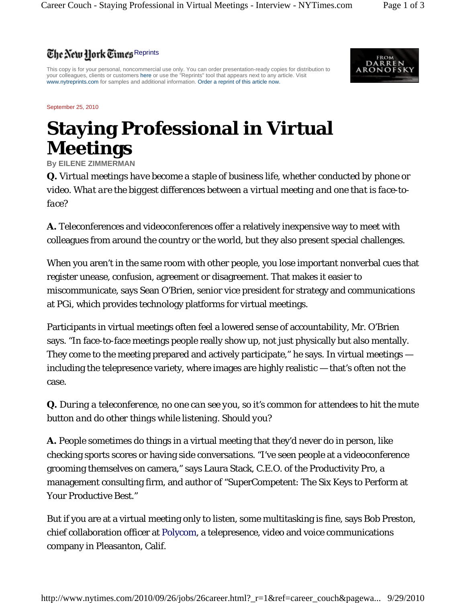## The New Hork Times Reprints

This copy is for your personal, noncommercial use only. You can order presentation-ready copies for distribution to your colleagues, clients or customers here or use the "Reprints" tool that appears next to any article. Visit www.nytreprints.com for samples and additional information. Order a reprint of this article now.

September 25, 2010

## **Staying Professional in Virtual Meetings**

**By EILENE ZIMMERMAN**

**Q.** *Virtual meetings have become a staple of business life, whether conducted by phone or video. What are the biggest differences between a virtual meeting and one that is face-toface?* 

**A.** Teleconferences and videoconferences offer a relatively inexpensive way to meet with colleagues from around the country or the world, but they also present special challenges.

When you aren't in the same room with other people, you lose important nonverbal cues that register unease, confusion, agreement or disagreement. That makes it easier to miscommunicate, says Sean O'Brien, senior vice president for strategy and communications at PGi, which provides technology platforms for virtual meetings.

Participants in virtual meetings often feel a lowered sense of accountability, Mr. O'Brien says. "In face-to-face meetings people really show up, not just physically but also mentally. They come to the meeting prepared and actively participate," he says. In virtual meetings including the telepresence variety, where images are highly realistic — that's often not the case.

**Q.** *During a teleconference, no one can see you, so it's common for attendees to hit the mute button and do other things while listening. Should you?* 

**A.** People sometimes do things in a virtual meeting that they'd never do in person, like checking sports scores or having side conversations. "I've seen people at a videoconference grooming themselves on camera," says Laura Stack, C.E.O. of the Productivity Pro, a management consulting firm, and author of "SuperCompetent: The Six Keys to Perform at Your Productive Best."

But if you are at a virtual meeting only to listen, some multitasking is fine, says Bob Preston, chief collaboration officer at Polycom, a telepresence, video and voice communications company in Pleasanton, Calif.

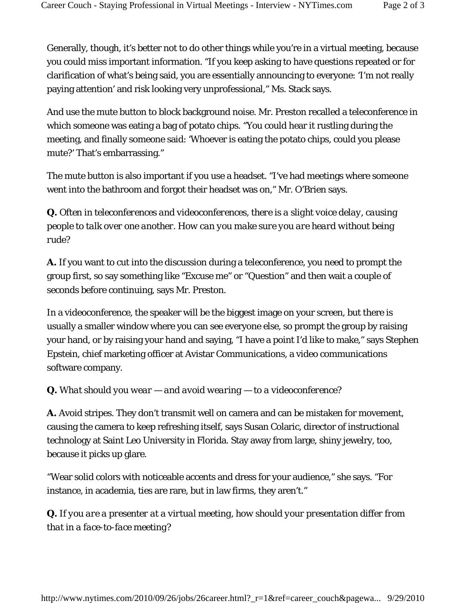Generally, though, it's better not to do other things while you're in a virtual meeting, because you could miss important information. "If you keep asking to have questions repeated or for clarification of what's being said, you are essentially announcing to everyone: 'I'm not really paying attention' and risk looking very unprofessional," Ms. Stack says.

And use the mute button to block background noise. Mr. Preston recalled a teleconference in which someone was eating a bag of potato chips. "You could hear it rustling during the meeting, and finally someone said: 'Whoever is eating the potato chips, could you please mute?' That's embarrassing."

The mute button is also important if you use a headset. "I've had meetings where someone went into the bathroom and forgot their headset was on," Mr. O'Brien says.

**Q.** *Often in teleconferences and videoconferences, there is a slight voice delay, causing people to talk over one another. How can you make sure you are heard without being rude?*

**A.** If you want to cut into the discussion during a teleconference, you need to prompt the group first, so say something like "Excuse me" or "Question" and then wait a couple of seconds before continuing, says Mr. Preston.

In a videoconference, the speaker will be the biggest image on your screen, but there is usually a smaller window where you can see everyone else, so prompt the group by raising your hand, or by raising your hand and saying, "I have a point I'd like to make," says Stephen Epstein, chief marketing officer at Avistar Communications, a video communications software company.

## *Q. What should you wear — and avoid wearing — to a videoconference?*

**A.** Avoid stripes. They don't transmit well on camera and can be mistaken for movement, causing the camera to keep refreshing itself, says Susan Colaric, director of instructional technology at Saint Leo University in Florida. Stay away from large, shiny jewelry, too, because it picks up glare.

"Wear solid colors with noticeable accents and dress for your audience," she says. "For instance, in academia, ties are rare, but in law firms, they aren't."

**Q.** *If you are a presenter at a virtual meeting, how should your presentation differ from that in a face-to-face meeting?*